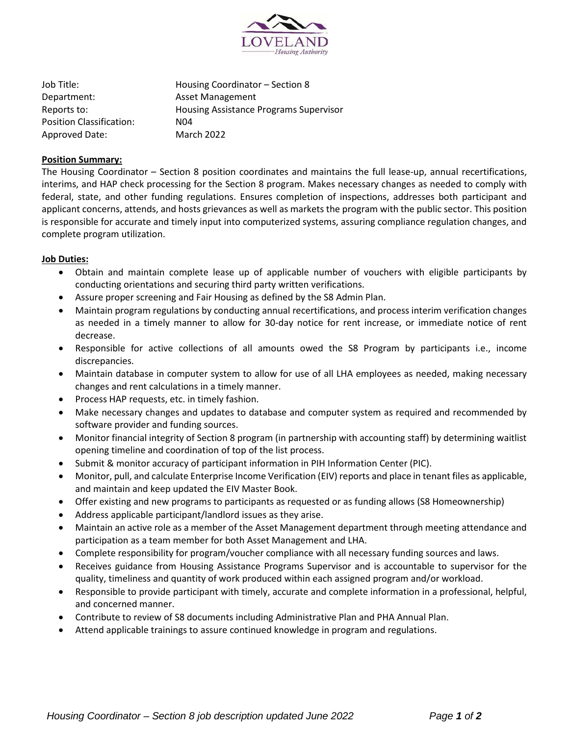

Job Title: Housing Coordinator – Section 8 Department: Asset Management Reports to: Housing Assistance Programs Supervisor Position Classification: N04 Approved Date: March 2022

#### **Position Summary:**

The Housing Coordinator – Section 8 position coordinates and maintains the full lease-up, annual recertifications, interims, and HAP check processing for the Section 8 program. Makes necessary changes as needed to comply with federal, state, and other funding regulations. Ensures completion of inspections, addresses both participant and applicant concerns, attends, and hosts grievances as well as markets the program with the public sector. This position is responsible for accurate and timely input into computerized systems, assuring compliance regulation changes, and complete program utilization.

#### **Job Duties:**

- Obtain and maintain complete lease up of applicable number of vouchers with eligible participants by conducting orientations and securing third party written verifications.
- Assure proper screening and Fair Housing as defined by the S8 Admin Plan.
- Maintain program regulations by conducting annual recertifications, and process interim verification changes as needed in a timely manner to allow for 30-day notice for rent increase, or immediate notice of rent decrease.
- Responsible for active collections of all amounts owed the S8 Program by participants i.e., income discrepancies.
- Maintain database in computer system to allow for use of all LHA employees as needed, making necessary changes and rent calculations in a timely manner.
- Process HAP requests, etc. in timely fashion.
- Make necessary changes and updates to database and computer system as required and recommended by software provider and funding sources.
- Monitor financial integrity of Section 8 program (in partnership with accounting staff) by determining waitlist opening timeline and coordination of top of the list process.
- Submit & monitor accuracy of participant information in PIH Information Center (PIC).
- Monitor, pull, and calculate Enterprise Income Verification (EIV) reports and place in tenant files as applicable, and maintain and keep updated the EIV Master Book.
- Offer existing and new programs to participants as requested or as funding allows (S8 Homeownership)
- Address applicable participant/landlord issues as they arise.
- Maintain an active role as a member of the Asset Management department through meeting attendance and participation as a team member for both Asset Management and LHA.
- Complete responsibility for program/voucher compliance with all necessary funding sources and laws.
- Receives guidance from Housing Assistance Programs Supervisor and is accountable to supervisor for the quality, timeliness and quantity of work produced within each assigned program and/or workload.
- Responsible to provide participant with timely, accurate and complete information in a professional, helpful, and concerned manner.
- Contribute to review of S8 documents including Administrative Plan and PHA Annual Plan.
- Attend applicable trainings to assure continued knowledge in program and regulations.